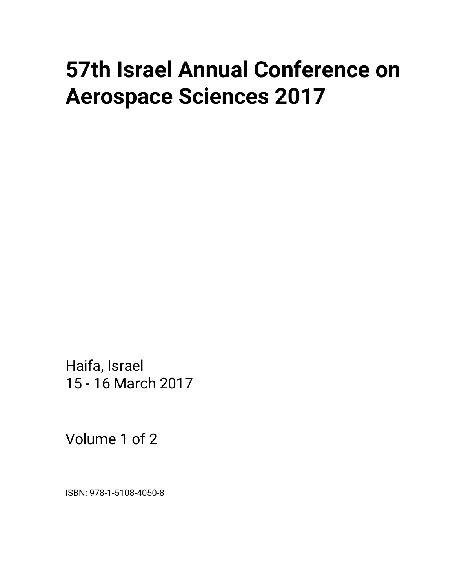## **57th Israel Annual Conference on Aerospace Sciences 2017**

Haifa, Israel 15 - 16 March 2017

Volume 1 of 2

ISBN: 978-1-5108-4050-8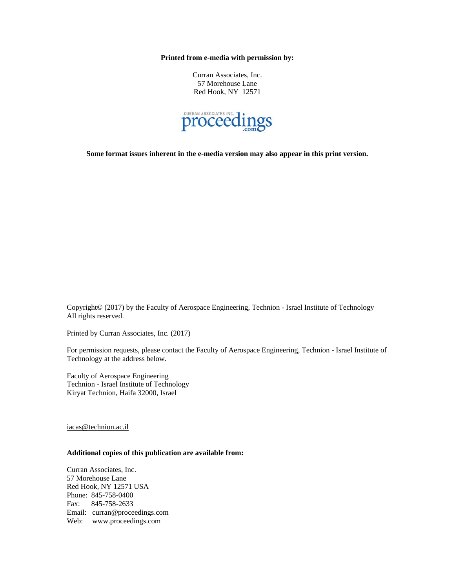**Printed from e-media with permission by:** 

Curran Associates, Inc. 57 Morehouse Lane Red Hook, NY 12571



**Some format issues inherent in the e-media version may also appear in this print version.** 

Copyright© (2017) by the Faculty of Aerospace Engineering, Technion - Israel Institute of Technology All rights reserved.

Printed by Curran Associates, Inc. (2017)

For permission requests, please contact the Faculty of Aerospace Engineering, Technion - Israel Institute of Technology at the address below.

Faculty of Aerospace Engineering Technion - Israel Institute of Technology Kiryat Technion, Haifa 32000, Israel

iacas@technion.ac.il

## **Additional copies of this publication are available from:**

Curran Associates, Inc. 57 Morehouse Lane Red Hook, NY 12571 USA Phone: 845-758-0400 Fax: 845-758-2633 Email: curran@proceedings.com Web: www.proceedings.com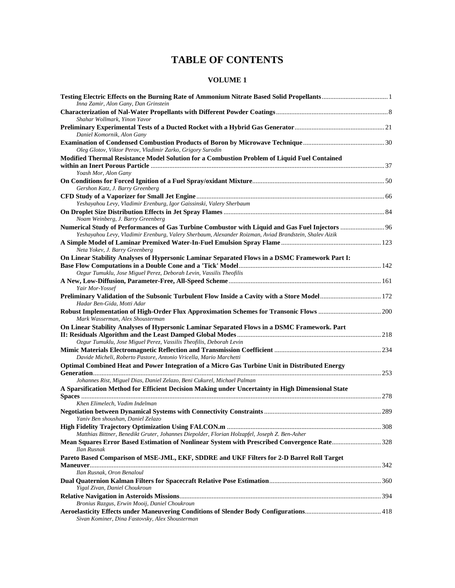## **TABLE OF CONTENTS**

## **VOLUME 1**

| Inna Zamir, Alon Gany, Dan Grinstein                                                                                       |  |
|----------------------------------------------------------------------------------------------------------------------------|--|
| Shahar Wollmark, Yinon Yavor                                                                                               |  |
| Daniel Komornik, Alon Gany                                                                                                 |  |
| Oleg Glotov, Viktor Perov, Vladimir Zarko, Grigory Surodin                                                                 |  |
| Modified Thermal Resistance Model Solution for a Combustion Problem of Liquid Fuel Contained                               |  |
| Yoash Mor, Alon Gany                                                                                                       |  |
|                                                                                                                            |  |
| Gershon Katz, J. Barry Greenberg                                                                                           |  |
|                                                                                                                            |  |
| Yeshayahou Levy, Vladimir Erenburg, Igor Gaissinski, Valery Sherbaum                                                       |  |
| Noam Weinberg, J. Barry Greenberg                                                                                          |  |
| Numerical Study of Performances of Gas Turbine Combustor with Liquid and Gas Fuel Injectors  96                            |  |
| Yeshayahou Levy, Vladimir Erenburg, Valery Sherbaum, Alexander Roizman, Aviad Brandstein, Shalev Aizik                     |  |
| Neta Yokev, J. Barry Greenberg                                                                                             |  |
| On Linear Stability Analyses of Hypersonic Laminar Separated Flows in a DSMC Framework Part I:                             |  |
|                                                                                                                            |  |
| Ozgur Tumuklu, Jose Miguel Perez, Deborah Levin, Vassilis Theofilis                                                        |  |
| Yair Mor-Yossef                                                                                                            |  |
| Preliminary Validation of the Subsonic Turbulent Flow Inside a Cavity with a Store Model 172<br>Hadar Ben-Gida, Motti Adar |  |
|                                                                                                                            |  |
| Mark Wasserman, Alex Shousterman                                                                                           |  |
| On Linear Stability Analyses of Hypersonic Laminar Separated Flows in a DSMC Framework. Part                               |  |
| Ozgur Tumuklu, Jose Miguel Perez, Vassilis Theofilis, Deborah Levin                                                        |  |
|                                                                                                                            |  |
| Davide Micheli, Roberto Pastore, Antonio Vricella, Mario Marchetti                                                         |  |
| Optimal Combined Heat and Power Integration of a Micro Gas Turbine Unit in Distributed Energy                              |  |
| Johannes Rist, Miguel Dias, Daniel Zelazo, Beni Cukurel, Michael Palman                                                    |  |
| A Sparsification Method for Efficient Decision Making under Uncertainty in High Dimensional State                          |  |
|                                                                                                                            |  |
| Khen Elimelech, Vadim Indelman                                                                                             |  |
|                                                                                                                            |  |
| Yaniv Ben shoushan, Daniel Zelazo                                                                                          |  |
|                                                                                                                            |  |
| Matthias Bittner, Benedikt Gruter, Johannes Diepolder, Florian Holzapfel, Joseph Z. Ben-Asher                              |  |
| Mean Squares Error Based Estimation of Nonlinear System with Prescribed Convergence Rate328<br>Ilan Rusnak                 |  |
| Pareto Based Comparison of MSE-JML, EKF, SDDRE and UKF Filters for 2-D Barrel Roll Target                                  |  |
|                                                                                                                            |  |
| Ilan Rusnak, Oron Benaloul                                                                                                 |  |
|                                                                                                                            |  |
| Yigal Zivan, Daniel Choukroun                                                                                              |  |
| Bronius Razgus, Erwin Mooij, Daniel Choukroun                                                                              |  |
|                                                                                                                            |  |
| Sivan Kominer, Dina Fastovsky, Alex Shousterman                                                                            |  |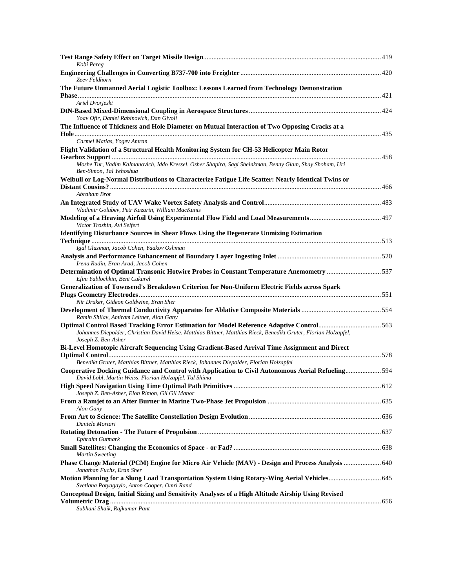| Kobi Pereg                                                                                                                                                  |  |
|-------------------------------------------------------------------------------------------------------------------------------------------------------------|--|
| Zeev Feldhorn                                                                                                                                               |  |
| The Future Unmanned Aerial Logistic Toolbox: Lessons Learned from Technology Demonstration                                                                  |  |
|                                                                                                                                                             |  |
| Ariel Dvorjeski                                                                                                                                             |  |
| Yoav Ofir, Daniel Rabinovich, Dan Givoli                                                                                                                    |  |
| The Influence of Thickness and Hole Diameter on Mutual Interaction of Two Opposing Cracks at a                                                              |  |
| Carmel Matias, Yogev Amran                                                                                                                                  |  |
| Flight Validation of a Structural Health Monitoring System for CH-53 Helicopter Main Rotor                                                                  |  |
| Moshe Tur, Vadim Kalmanovich, Iddo Kressel, Osher Shapira, Sagi Sheinkman, Benny Glam, Shay Shoham, Uri<br>Ben-Simon, Tal Yehoshua                          |  |
| Weibull or Log-Normal Distributions to Characterize Fatigue Life Scatter: Nearly Identical Twins or                                                         |  |
| Abraham Brot                                                                                                                                                |  |
| Vladimir Golubev, Petr Kazarin, William MacKunis                                                                                                            |  |
| Victor Troshin, Avi Seifert                                                                                                                                 |  |
| <b>Identifying Disturbance Sources in Shear Flows Using the Degenerate Unmixing Estimation</b>                                                              |  |
|                                                                                                                                                             |  |
| Igal Gluzman, Jacob Cohen, Yaakov Oshman                                                                                                                    |  |
| Irena Rudin, Eran Arad, Jacob Cohen                                                                                                                         |  |
| Determination of Optimal Transonic Hotwire Probes in Constant Temperature Anemometry 537<br>Efim Yablochkin, Beni Cukurel                                   |  |
| Generalization of Townsend's Breakdown Criterion for Non-Uniform Electric Fields across Spark                                                               |  |
| Nir Druker, Gideon Goldwine, Eran Sher                                                                                                                      |  |
| Ramin Shilav, Amiram Leitner, Alon Gany                                                                                                                     |  |
|                                                                                                                                                             |  |
| Johannes Diepolder, Christian David Heise, Matthias Bittner, Matthias Rieck, Benedikt Gruter, Florian Holzapfel,<br>Joseph Z. Ben-Asher                     |  |
| Bi-Level Homotopic Aircraft Sequencing Using Gradient-Based Arrival Time Assignment and Direct                                                              |  |
| Benedikt Gruter, Matthias Bittner, Matthias Rieck, Johannes Diepolder, Florian Holzapfel                                                                    |  |
| Cooperative Docking Guidance and Control with Application to Civil Autonomous Aerial Refueling594<br>David Lobl, Martin Weiss, Florian Holzapfel, Tal Shima |  |
|                                                                                                                                                             |  |
| Joseph Z. Ben-Asher, Elon Rimon, Gil Gil Manor                                                                                                              |  |
| Alon Gany                                                                                                                                                   |  |
| Daniele Mortari                                                                                                                                             |  |
| Ephraim Gutmark                                                                                                                                             |  |
| <b>Martin Sweeting</b>                                                                                                                                      |  |
| Jonathan Fuchs, Eran Sher                                                                                                                                   |  |
| Motion Planning for a Slung Load Transportation System Using Rotary-Wing Aerial Vehicles 645<br>Svetlana Potyagaylo, Anton Cooper, Omri Rand                |  |
| Conceptual Design, Initial Sizing and Sensitivity Analyses of a High Altitude Airship Using Revised                                                         |  |
| Subhani Shaik, Rajkumar Pant                                                                                                                                |  |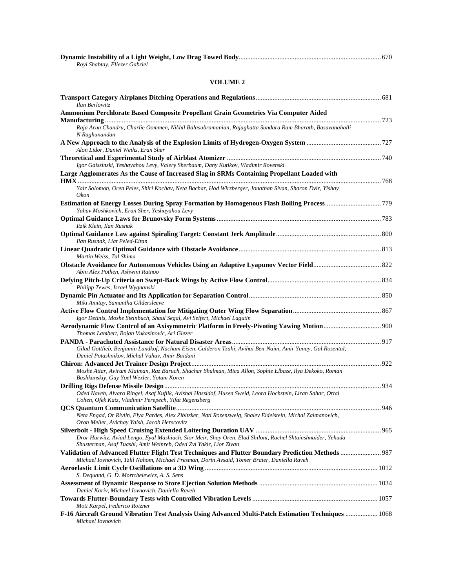| Royi Shabtay, Eliezer Gabriel                                                                                                                                                                                          |  |
|------------------------------------------------------------------------------------------------------------------------------------------------------------------------------------------------------------------------|--|
| <b>VOLUME 2</b>                                                                                                                                                                                                        |  |
| Ilan Berlowitz                                                                                                                                                                                                         |  |
| Ammonium Perchlorate Based Composite Propellant Grain Geometries Via Computer Aided                                                                                                                                    |  |
| Raja Arun Chandru, Charlie Oommen, Nikhil Balasubramanian, Rajaghatta Sundara Ram Bharath, Basavanahalli<br>N Raghunandan                                                                                              |  |
| Alon Lidor, Daniel Weihs, Eran Sher                                                                                                                                                                                    |  |
| Igor Gaissinski, Yeshayahou Levy, Valery Sherbaum, Dany Kutikov, Vladimir Rovenski                                                                                                                                     |  |
| Large Agglomerates As the Cause of Increased Slag in SRMs Containing Propellant Loaded with<br>Yair Solomon, Oren Peles, Shiri Kochav, Neta Bachar, Hod Wirzberger, Jonathan Sivan, Sharon Dvir, Yishay<br><i>Okon</i> |  |
| Yahav Moshkovich, Eran Sher, Yeshayahou Levy                                                                                                                                                                           |  |
| Itzik Klein, Ilan Rusnak                                                                                                                                                                                               |  |
| Ilan Rusnak, Liat Peled-Eitan                                                                                                                                                                                          |  |
| Martin Weiss, Tal Shima                                                                                                                                                                                                |  |
| Abin Alex Pothen, Ashwini Ratnoo                                                                                                                                                                                       |  |
| Philipp Tewes, Israel Wygnanski                                                                                                                                                                                        |  |
| Miki Amitay, Samantha Gildersleeve                                                                                                                                                                                     |  |
| Igor Detinis, Moshe Steinbuch, Shaul Segal, Avi Seifert, Michael Lagutin<br>Aerodynamic Flow Control of an Axisymmetric Platform in Freely-Pivoting Yawing Motion 900<br>Thomas Lambert, Bojan Vukasinovic, Ari Glezer |  |
| Gilad Gottlieb, Benjamin Landkof, Nachum Eisen, Calderon Tzahi, Avihai Ben-Naim, Amir Yanay, Gal Rosental,<br>Daniel Potashnikov, Michal Vahav, Amir Baidani                                                           |  |
| Moshe Attar, Aviram Klaiman, Raz Baruch, Shachar Shulman, Mica Allon, Sophie Elbaze, Ilya Dekoko, Roman<br>Bashkanskiy, Guy Yoel Wexler, Yotam Koren                                                                   |  |
| Oded Naveh, Alvaro Ringel, Asaf Kuflik, Avishai Hassidof, Husen Sweid, Leora Hochstein, Liran Sahar, Ortal<br>Cohen, Ofek Katz, Vladimir Perepech, Yifat Regensberg                                                    |  |
| Neta Engad, Or Rivlin, Elya Pardes, Alex Zibitsker, Nati Rozensweig, Shalev Eidelstein, Michal Zalmanovich,<br>Oron Meller, Avichay Yaish, Jacob Herscovitz                                                            |  |
| Dror Hurwitz, Aviad Lengo, Eyal Mashiach, Sior Meir, Shay Oren, Elad Shiloni, Rachel Shtainshnaider, Yehuda<br>Shusterman, Asaf Tuashi, Amit Weinreb, Oded Zvi Yakir, Lior Zivan                                       |  |
| Michael Iovnovich, Tzlil Nahom, Michael Presman, Dorin Avsaid, Tomer Braier, Daniella Raveh                                                                                                                            |  |
| S. Dequand, G. D. Mortchelewicz, A. S. Sens                                                                                                                                                                            |  |
| Daniel Kariv, Michael Iovnovich, Daniella Raveh                                                                                                                                                                        |  |
| Moti Karpel, Federico Roizner<br>F-16 Aircraft Ground Vibration Test Analysis Using Advanced Multi-Patch Estimation Techniques  1068                                                                                   |  |
| Michael Iovnovich                                                                                                                                                                                                      |  |

**Dynamic Instability of a Light Weight, Low Drag Towed Body**.................................................................................... 670